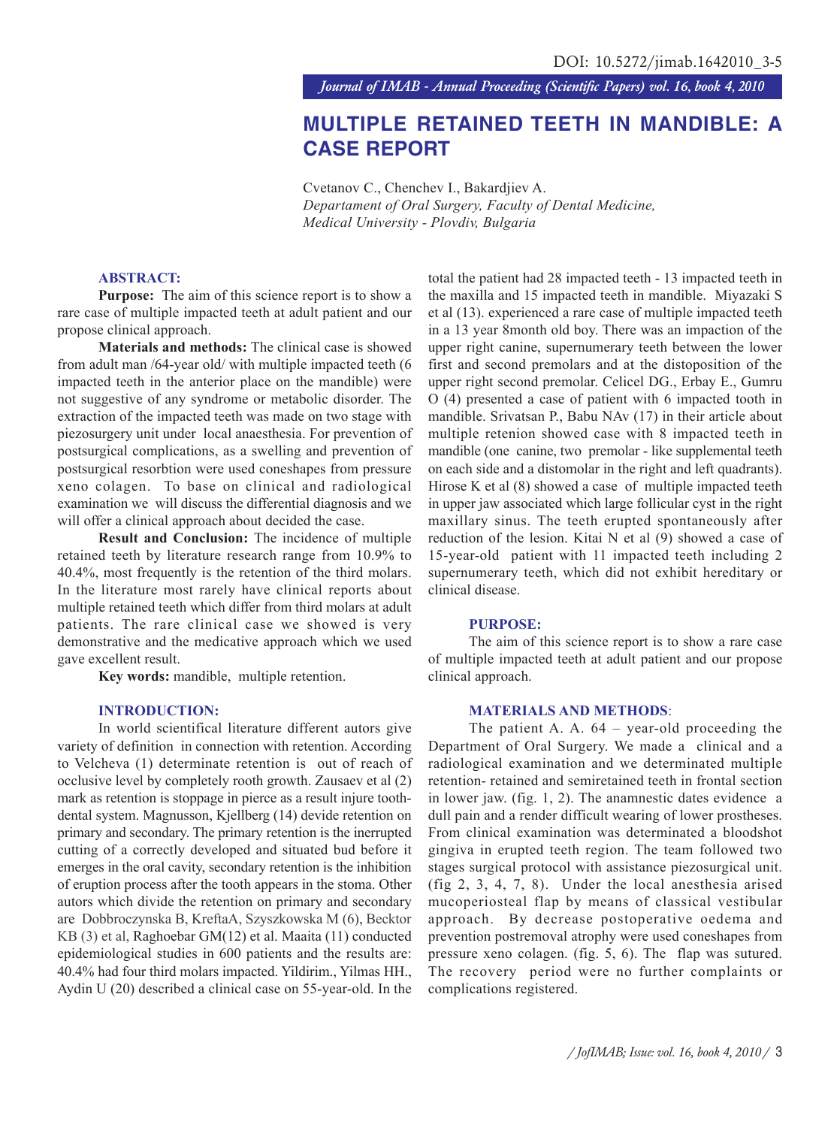*Journal of IMAB - Annual Proceeding (Scientific Papers) vol. 16, book 4, 2010*

# **MULTIPLE RETAINED TEETH IN MANDIBLE: A CASE REPORT**

Cvetanov C., Chenchev I., Bakardjiev A. *Departament of Oral Surgery, Faculty of Dental Medicine, Medical University - Plovdiv, Bulgaria*

## **ABSTRACT:**

**Purpose:** The aim of this science report is to show a rare case of multiple impacted teeth at adult patient and our propose clinical approach.

**Materials and methods:** The clinical case is showed from adult man /64-year old/ with multiple impacted teeth (6 impacted teeth in the anterior place on the mandible) were not suggestive of any syndrome or metabolic disorder. The extraction of the impacted teeth was made on two stage with piezosurgery unit under local anaesthesia. For prevention of postsurgical complications, as a swelling and prevention of postsurgical resorbtion were used coneshapes from pressure xeno colagen. To base on clinical and radiological examination we will discuss the differential diagnosis and we will offer a clinical approach about decided the case.

**Result and Conclusion:** The incidence of multiple retained teeth by literature research range from 10.9% to 40.4%, most frequently is the retention of the third molars. In the literature most rarely have clinical reports about multiple retained teeth which differ from third molars at adult patients. The rare clinical case we showed is very demonstrative and the medicative approach which we used gave excellent result.

**Key words:** mandible, multiple retention.

## **INTRODUCTION:**

In world scientifical literature different autors give variety of definition in connection with retention. According to Velcheva (1) determinate retention is out of reach of occlusive level by completely rooth growth. Zausaev et al (2) mark as retention is stoppage in pierce as a result injure toothdental system. Magnusson, Kjellberg (14) devide retention on primary and secondary. The primary retention is the inerrupted cutting of a correctly developed and situated bud before it emerges in the oral cavity, secondary retention is the inhibition of eruption process after the tooth appears in the stoma. Other autors which divide the retention on primary and secondary are Dobbroczynska B, KreftaA, Szyszkowska M (6), Becktor KB (3) et al, Raghoebar GM(12) et al. Maaita (11) conducted epidemiological studies in 600 patients and the results are: 40.4% had four third molars impacted. Yildirim., Yilmas HH., Aydin U (20) described a clinical case on 55-year-old. In the

total the patient had 28 impacted teeth - 13 impacted teeth in the maxilla and 15 impacted teeth in mandible. Miyazaki S et al (13). experienced a rare case of multiple impacted teeth in a 13 year 8month old boy. There was an impaction of the upper right canine, supernumerary teeth between the lower first and second premolars and at the distoposition of the upper right second premolar. Celicel DG., Erbay E., Gumru O (4) presented a case of patient with 6 impacted tooth in mandible. Srivatsan P., Babu NAv (17) in their article about multiple retenion showed case with 8 impacted teeth in mandible (one canine, two premolar - like supplemental teeth on each side and a distomolar in the right and left quadrants). Hirose K et al (8) showed a case of multiple impacted teeth in upper jaw associated which large follicular cyst in the right maxillary sinus. The teeth erupted spontaneously after reduction of the lesion. Kitai N et al (9) showed a case of 15-year-old patient with 11 impacted teeth including 2 supernumerary teeth, which did not exhibit hereditary or clinical disease.

#### **PURPOSE:**

The aim of this science report is to show a rare case of multiple impacted teeth at adult patient and our propose clinical approach.

#### **MATERIALS AND METHODS**:

The patient A. A. 64 – year-old proceeding the Department of Oral Surgery. We made a clinical and a radiological examination and we determinated multiple retention- retained and semiretained teeth in frontal section in lower jaw. (fig. 1, 2). The anamnestic dates evidence a dull pain and a render difficult wearing of lower prostheses. From clinical examination was determinated a bloodshot gingiva in erupted teeth region. The team followed two stages surgical protocol with assistance piezosurgical unit. (fig 2, 3, 4, 7, 8). Under the local anesthesia arised mucoperiosteal flap by means of classical vestibular approach. By decrease postoperative oedema and prevention postremoval atrophy were used coneshapes from pressure xeno colagen. (fig. 5, 6). The flap was sutured. The recovery period were no further complaints or complications registered.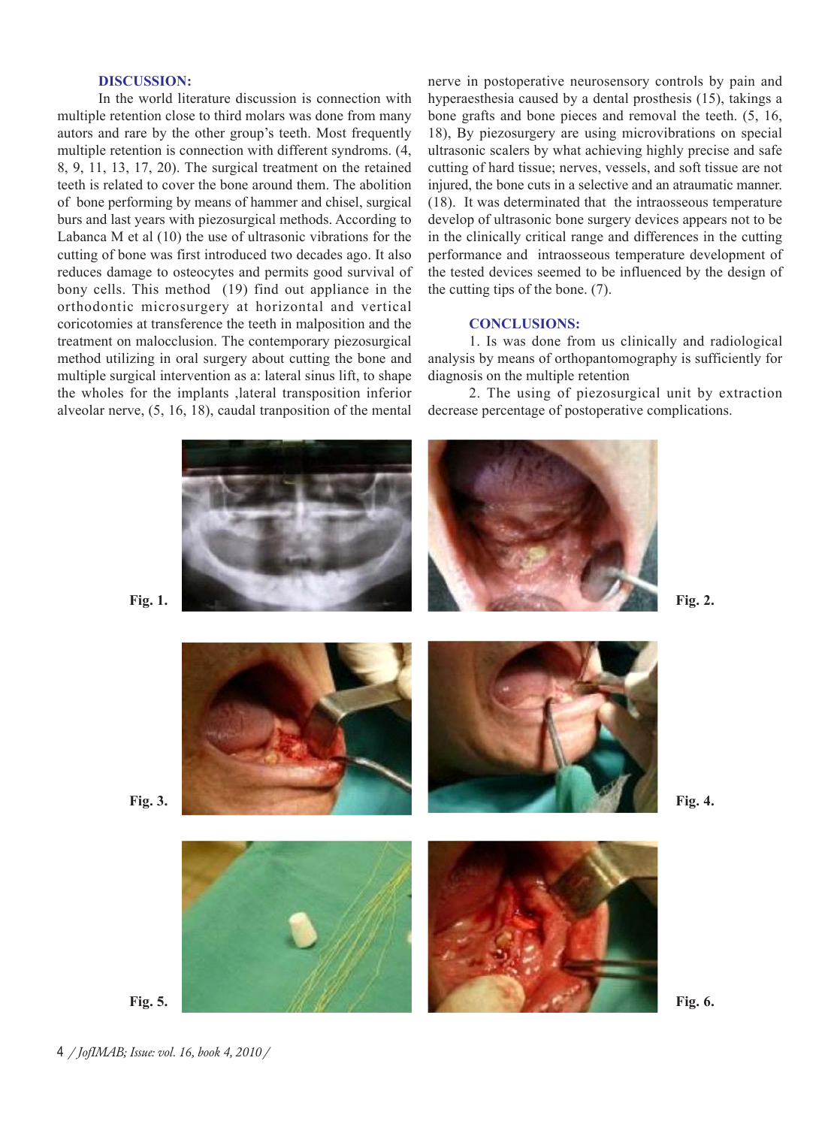# **DISCUSSION:**

In the world literature discussion is connection with multiple retention close to third molars was done from many autors and rare by the other group's teeth. Most frequently multiple retention is connection with different syndroms. (4, 8, 9, 11, 13, 17, 20). The surgical treatment on the retained teeth is related to cover the bone around them. The abolition of bone performing by means of hammer and chisel, surgical burs and last years with piezosurgical methods. According to Labanca M et al (10) the use of ultrasonic vibrations for the cutting of bone was first introduced two decades ago. It also reduces damage to osteocytes and permits good survival of bony cells. This method (19) find out appliance in the orthodontic microsurgery at horizontal and vertical coricotomies at transference the teeth in malposition and the treatment on malocclusion. The contemporary piezosurgical method utilizing in oral surgery about cutting the bone and multiple surgical intervention as a: lateral sinus lift, to shape the wholes for the implants ,lateral transposition inferior alveolar nerve, (5, 16, 18), caudal tranposition of the mental

nerve in postoperative neurosensory controls by pain and hyperaesthesia caused by a dental prosthesis (15), takings a bone grafts and bone pieces and removal the teeth. (5, 16, 18), By piezosurgery are using microvibrations on special ultrasonic scalers by what achieving highly precise and safe cutting of hard tissue; nerves, vessels, and soft tissue are not injured, the bone cuts in a selective and an atraumatic manner. (18). It was determinated that the intraosseous temperature develop of ultrasonic bone surgery devices appears not to be in the clinically critical range and differences in the cutting performance and intraosseous temperature development of the tested devices seemed to be influenced by the design of the cutting tips of the bone. (7).

## **CONCLUSIONS:**

1. Is was done from us clinically and radiological analysis by means of orthopantomography is sufficiently for diagnosis on the multiple retention

2. The using of piezosurgical unit by extraction decrease percentage of postoperative complications.



4 */ JofIMAB; Issue: vol. 16, book 4, 2010 /*